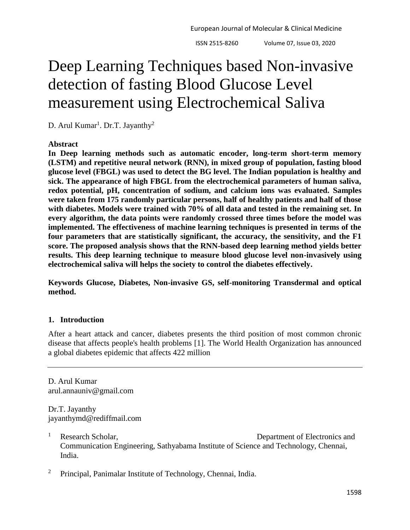# Deep Learning Techniques based Non-invasive detection of fasting Blood Glucose Level measurement using Electrochemical Saliva

D. Arul Kumar<sup>1</sup>. Dr.T. Jayanthy<sup>2</sup>

## **Abstract**

**In Deep learning methods such as automatic encoder, long-term short-term memory (LSTM) and repetitive neural network (RNN), in mixed group of population, fasting blood glucose level (FBGL) was used to detect the BG level. The Indian population is healthy and sick. The appearance of high FBGL from the electrochemical parameters of human saliva, redox potential, pH, concentration of sodium, and calcium ions was evaluated. Samples were taken from 175 randomly particular persons, half of healthy patients and half of those with diabetes. Models were trained with 70% of all data and tested in the remaining set. In every algorithm, the data points were randomly crossed three times before the model was implemented. The effectiveness of machine learning techniques is presented in terms of the four parameters that are statistically significant, the accuracy, the sensitivity, and the F1 score. The proposed analysis shows that the RNN-based deep learning method yields better results. This deep learning technique to measure blood glucose level non-invasively using electrochemical saliva will helps the society to control the diabetes effectively.**

**Keywords Glucose, Diabetes, Non-invasive GS, self-monitoring Transdermal and optical method.**

## **1. Introduction**

After a heart attack and cancer, diabetes presents the third position of most common chronic disease that affects people's health problems [1]. The World Health Organization has announced a global diabetes epidemic that affects 422 million

D. Arul Kumar arul.annauniv@gmail.com

Dr.T. Jayanthy jayanthymd@rediffmail.com

- <sup>1</sup> Research Scholar, Department of Electronics and Communication Engineering, Sathyabama Institute of Science and Technology, Chennai, India.
- <sup>2</sup> Principal, Panimalar Institute of Technology, Chennai, India.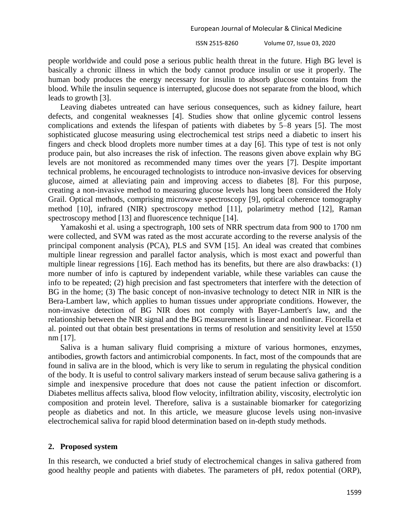people worldwide and could pose a serious public health threat in the future. High BG level is basically a chronic illness in which the body cannot produce insulin or use it properly. The human body produces the energy necessary for insulin to absorb glucose contains from the blood. While the insulin sequence is interrupted, glucose does not separate from the blood, which leads to growth [3].

Leaving diabetes untreated can have serious consequences, such as kidney failure, heart defects, and congenital weaknesses [4]. Studies show that online glycemic control lessens complications and extends the lifespan of patients with diabetes by 5–8 years [5]. The most sophisticated glucose measuring using electrochemical test strips need a diabetic to insert his fingers and check blood droplets more number times at a day [6]. This type of test is not only produce pain, but also increases the risk of infection. The reasons given above explain why BG levels are not monitored as recommended many times over the years [7]. Despite important technical problems, he encouraged technologists to introduce non-invasive devices for observing glucose, aimed at alleviating pain and improving access to diabetes [8]. For this purpose, creating a non-invasive method to measuring glucose levels has long been considered the Holy Grail. Optical methods, comprising microwave spectroscopy [9], optical coherence tomography method [10], infrared (NIR) spectroscopy method [11], polarimetry method [12], Raman spectroscopy method [13] and fluorescence technique [14].

Yamakoshi et al. using a spectrograph, 100 sets of NRR spectrum data from 900 to 1700 nm were collected, and SVM was rated as the most accurate according to the reverse analysis of the principal component analysis (PCA), PLS and SVM [15]. An ideal was created that combines multiple linear regression and parallel factor analysis, which is most exact and powerful than multiple linear regressions [16]. Each method has its benefits, but there are also drawbacks: (1) more number of info is captured by independent variable, while these variables can cause the info to be repeated; (2) high precision and fast spectrometers that interfere with the detection of BG in the home; (3) The basic concept of non-invasive technology to detect NIR in NIR is the Bera-Lambert law, which applies to human tissues under appropriate conditions. However, the non-invasive detection of BG NIR does not comply with Bayer-Lambert's law, and the relationship between the NIR signal and the BG measurement is linear and nonlinear. Ficorella et al. pointed out that obtain best presentations in terms of resolution and sensitivity level at 1550 nm [17].

Saliva is a human salivary fluid comprising a mixture of various hormones, enzymes, antibodies, growth factors and antimicrobial components. In fact, most of the compounds that are found in saliva are in the blood, which is very like to serum in regulating the physical condition of the body. It is useful to control salivary markers instead of serum because saliva gathering is a simple and inexpensive procedure that does not cause the patient infection or discomfort. Diabetes mellitus affects saliva, blood flow velocity, infiltration ability, viscosity, electrolytic ion composition and protein level. Therefore, saliva is a sustainable biomarker for categorizing people as diabetics and not. In this article, we measure glucose levels using non-invasive electrochemical saliva for rapid blood determination based on in-depth study methods.

#### **2. Proposed system**

In this research, we conducted a brief study of electrochemical changes in saliva gathered from good healthy people and patients with diabetes. The parameters of pH, redox potential (ORP),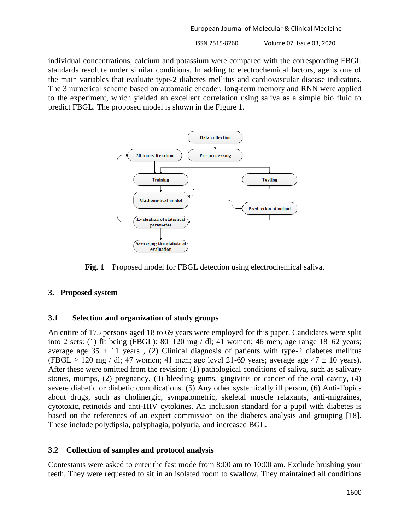ISSN 2515-8260 Volume 07, Issue 03, 2020

individual concentrations, calcium and potassium were compared with the corresponding FBGL standards resolute under similar conditions. In adding to electrochemical factors, age is one of the main variables that evaluate type-2 diabetes mellitus and cardiovascular disease indicators. The 3 numerical scheme based on automatic encoder, long-term memory and RNN were applied to the experiment, which yielded an excellent correlation using saliva as a simple bio fluid to predict FBGL. The proposed model is shown in the Figure 1.



**Fig. 1** Proposed model for FBGL detection using electrochemical saliva.

## **3. Proposed system**

## **3.1 Selection and organization of study groups**

An entire of 175 persons aged 18 to 69 years were employed for this paper. Candidates were split into 2 sets: (1) fit being (FBGL): 80–120 mg / dl; 41 women; 46 men; age range 18–62 years; average age  $35 \pm 11$  years, (2) Clinical diagnosis of patients with type-2 diabetes mellitus (FBGL  $\geq$  120 mg / dl; 47 women; 41 men; age level 21-69 years; average age 47  $\pm$  10 years). After these were omitted from the revision: (1) pathological conditions of saliva, such as salivary stones, mumps, (2) pregnancy, (3) bleeding gums, gingivitis or cancer of the oral cavity, (4) severe diabetic or diabetic complications. (5) Any other systemically ill person, (6) Anti-Topics about drugs, such as cholinergic, sympatometric, skeletal muscle relaxants, anti-migraines, cytotoxic, retinoids and anti-HIV cytokines. An inclusion standard for a pupil with diabetes is based on the references of an expert commission on the diabetes analysis and grouping [18]. These include polydipsia, polyphagia, polyuria, and increased BGL.

## **3.2 Collection of samples and protocol analysis**

Contestants were asked to enter the fast mode from 8:00 am to 10:00 am. Exclude brushing your teeth. They were requested to sit in an isolated room to swallow. They maintained all conditions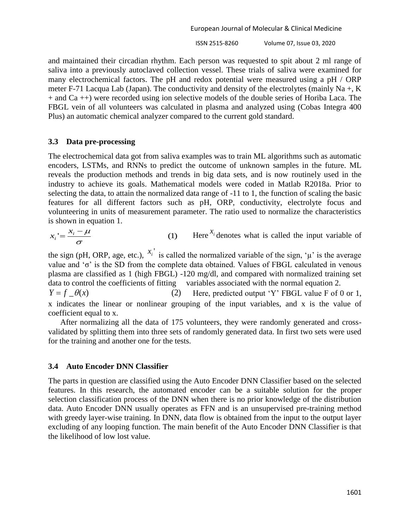ISSN 2515-8260 Volume 07, Issue 03, 2020

and maintained their circadian rhythm. Each person was requested to spit about 2 ml range of saliva into a previously autoclaved collection vessel. These trials of saliva were examined for many electrochemical factors. The pH and redox potential were measured using a pH / ORP meter F-71 Lacqua Lab (Japan). The conductivity and density of the electrolytes (mainly Na +, K + and Ca ++) were recorded using ion selective models of the double series of Horiba Laca. The FBGL vein of all volunteers was calculated in plasma and analyzed using (Cobas Integra 400 Plus) an automatic chemical analyzer compared to the current gold standard.

## **3.3 Data pre-processing**

The electrochemical data got from saliva examples was to train ML algorithms such as automatic encoders, LSTMs, and RNNs to predict the outcome of unknown samples in the future. ML reveals the production methods and trends in big data sets, and is now routinely used in the industry to achieve its goals. Mathematical models were coded in Matlab R2018a. Prior to selecting the data, to attain the normalized data range of -11 to 1, the function of scaling the basic features for all different factors such as pH, ORP, conductivity, electrolyte focus and volunteering in units of measurement parameter. The ratio used to normalize the characteristics is shown in equation 1.

$$
x_i = \frac{x_i - \mu}{\sigma}
$$
 (1) Here <sup>X\_i</sup> denotes what is called the input variable of

the sign (pH, ORP, age, etc.),  $x_i'$  is called the normalized variable of the sign, ' $\mu$ ' is the average value and 'σ' is the SD from the complete data obtained. Values of FBGL calculated in venous plasma are classified as 1 (high FBGL) -120 mg/dl, and compared with normalized training set data to control the coefficients of fitting variables associated with the normal equation 2.

 $Y = f \quad \theta(x)$  (2) Here, predicted output 'Y' FBGL value F of 0 or 1, x indicates the linear or nonlinear grouping of the input variables, and x is the value of coefficient equal to x.

After normalizing all the data of 175 volunteers, they were randomly generated and crossvalidated by splitting them into three sets of randomly generated data. In first two sets were used for the training and another one for the tests.

# **3.4 Auto Encoder DNN Classifier**

The parts in question are classified using the Auto Encoder DNN Classifier based on the selected features. In this research, the automated encoder can be a suitable solution for the proper selection classification process of the DNN when there is no prior knowledge of the distribution data. Auto Encoder DNN usually operates as FFN and is an unsupervised pre-training method with greedy layer-wise training. In DNN, data flow is obtained from the input to the output layer excluding of any looping function. The main benefit of the Auto Encoder DNN Classifier is that the likelihood of low lost value.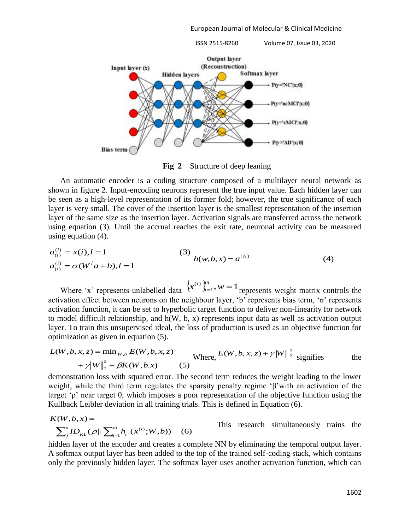ISSN 2515-8260 Volume 07, Issue 03, 2020



**Fig 2** Structure of deep leaning

An automatic encoder is a coding structure composed of a multilayer neural network as shown in figure 2. Input-encoding neurons represent the true input value. Each hidden layer can be seen as a high-level representation of its former fold; however, the true significance of each layer is very small. The cover of the insertion layer is the smallest representation of the insertion layer of the same size as the insertion layer. Activation signals are transferred across the network using equation (3). Until the accrual reaches the exit rate, neuronal activity can be measured using equation (4).

$$
a_{(i)}^{(i)} = x(i), l = 1
$$
\n
$$
a_{(i)}^{(i)} = \sigma(W^{l}a + b), l = 1
$$
\n(3)\n
$$
h(w, b, x) = a^{(N)}
$$
\n(4)

Where 'x' represents unlabelled data  $\{x^{(i)}\}_{i=1}^m$ ,  $w = 1$ *i i* represents weight matrix controls the activation effect between neurons on the neighbour layer, 'b' represents bias term, 'σ' represents activation function, it can be set to hyperbolic target function to deliver non-linearity for network to model difficult relationship, and h(W, b, x) represents input data as well as activation output layer. To train this unsupervised ideal, the loss of production is used as an objective function for optimization as given in equation (5).

$$
L(W, b, x, z) = \min_{W, b} E(W, b, x, z)
$$
  
where, 
$$
E(W, b, x, z) + \gamma ||W||_2^2
$$
 signifies the  
+
$$
\gamma ||W||_2^2 + \beta K(W, b, x)
$$
 (5)

demonstration loss with squared error. The second term reduces the weight leading to the lower weight, while the third term regulates the sparsity penalty regime 'β'with an activation of the target 'ρ' near target 0, which imposes a poor representation of the objective function using the Kullback Leibler deviation in all training trials. This is defined in Equation (6).

$$
K(W, b, x) =
$$
  
\n
$$
\sum_{j}^{n} ID_{KL}(\rho || \sum_{i=1}^{m} h_i(x^{(i)}; W, b))
$$
 (6) This research simultaneously trains the

hidden layer of the encoder and creates a complete NN by eliminating the temporal output layer. A softmax output layer has been added to the top of the trained self-coding stack, which contains only the previously hidden layer. The softmax layer uses another activation function, which can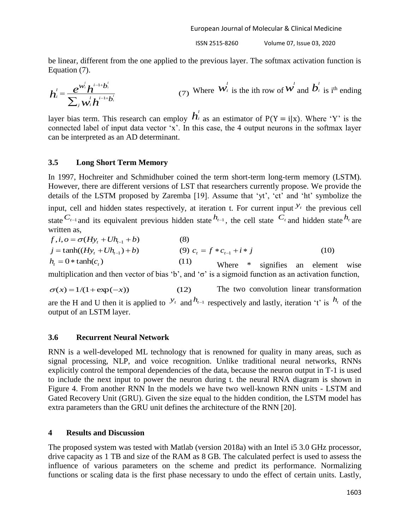be linear, different from the one applied to the previous layer. The softmax activation function is Equation (7).

$$
\boldsymbol{h}_{i}^{\prime} = \frac{e^{\boldsymbol{W}_{i}^{\prime}} \boldsymbol{h}^{i-1+\boldsymbol{b}_{i}^{\prime}}}{\sum_{j} w_{i}^{\prime} \boldsymbol{h}^{i-1+\boldsymbol{b}_{i}^{\prime}}}
$$
\n(7) Where  $\boldsymbol{W}_{i}^{\prime}$  is the ith row of  $\boldsymbol{W}_{i}^{\prime}$  and  $\boldsymbol{b}_{i}^{\prime}$  is i<sup>th</sup> ending

layer bias term. This research can employ *h l i* as an estimator of  $P(Y = i|x)$ . Where 'Y' is the connected label of input data vector 'x'. In this case, the 4 output neurons in the softmax layer can be interpreted as an AD determinant.

## **3.5 Long Short Term Memory**

In 1997, Hochreiter and Schmidhuber coined the term short-term long-term memory (LSTM). However, there are different versions of LST that researchers currently propose. We provide the details of the LSTM proposed by Zaremba [19]. Assume that 'yt', 'ct' and 'ht' symbolize the input, cell and hidden states respectively, at iteration t. For current input  $y_t$  the previous cell state  $C_{t-1}$  and its equivalent previous hidden state  $h_{t-1}$ , the cell state  $C_t$  and hidden state  $h_t$  are written as.

$$
f, i, o = \sigma(Hy_t + Uh_{t-1} + b)
$$
\n
$$
j = \tanh((Hy_t + Uh_{t-1}) + b)
$$
\n
$$
(9) \ c_t = f * c_{t-1} + i * j
$$
\n
$$
h_t = 0 * \tanh(c_t)
$$
\n
$$
(10)
$$
\nWhere \* signifies an element wise

multiplication and then vector of bias 'b', and ' $\sigma$ ' is a sigmoid function as an activation function,

 $\sigma(x) = 1/(1 + \exp(-x))$  (12) The two convolution linear transformation

are the H and U then it is applied to  $y_t$  and  $h_{t-1}$  respectively and lastly, iteration 't' is  $h_t$  of the output of an LSTM layer.

## **3.6 Recurrent Neural Network**

RNN is a well-developed ML technology that is renowned for quality in many areas, such as signal processing, NLP, and voice recognition. Unlike traditional neural networks, RNNs explicitly control the temporal dependencies of the data, because the neuron output in T-1 is used to include the next input to power the neuron during t. the neural RNA diagram is shown in Figure 4. From another RNN In the models we have two well-known RNN units - LSTM and Gated Recovery Unit (GRU). Given the size equal to the hidden condition, the LSTM model has extra parameters than the GRU unit defines the architecture of the RNN [20].

## **4 Results and Discussion**

The proposed system was tested with Matlab (version 2018a) with an Intel i5 3.0 GHz processor, drive capacity as 1 TB and size of the RAM as 8 GB. The calculated perfect is used to assess the influence of various parameters on the scheme and predict its performance. Normalizing functions or scaling data is the first phase necessary to undo the effect of certain units. Lastly,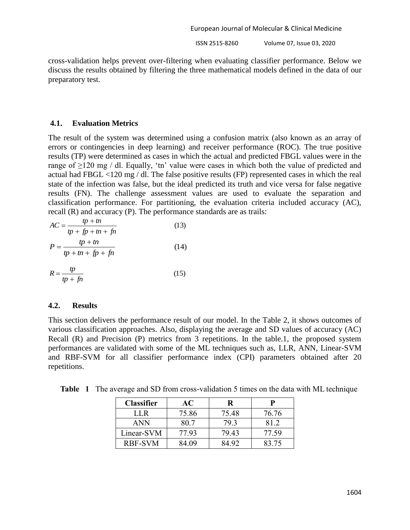cross-validation helps prevent over-filtering when evaluating classifier performance. Below we discuss the results obtained by filtering the three mathematical models defined in the data of our preparatory test.

#### **4.1. Evaluation Metrics**

The result of the system was determined using a confusion matrix (also known as an array of errors or contingencies in deep learning) and receiver performance (ROC). The true positive results (TP) were determined as cases in which the actual and predicted FBGL values were in the range of ≥120 mg / dl. Equally, 'tn' value were cases in which both the value of predicted and actual had FBGL <120 mg / dl. The false positive results (FP) represented cases in which the real state of the infection was false, but the ideal predicted its truth and vice versa for false negative results (FN). The challenge assessment values are used to evaluate the separation and classification performance. For partitioning, the evaluation criteria included accuracy (AC), recall (R) and accuracy (P). The performance standards are as trails:

$$
AC = \frac{tp + tn}{tp + fp + tn + fn}
$$
(13)  

$$
P = \frac{tp + tn}{tp + tn + fp + fn}
$$
(14)

$$
R = \frac{tp}{tp + fn} \tag{15}
$$

#### **4.2. Results**

This section delivers the performance result of our model. In the Table 2, it shows outcomes of various classification approaches. Also, displaying the average and SD values of accuracy (AC) Recall (R) and Precision (P) metrics from 3 repetitions. In the table.1, the proposed system performances are validated with some of the ML techniques such as, LLR, ANN, Linear-SVM and RBF-SVM for all classifier performance index (CPI) parameters obtained after 20 repetitions.

| <b>Classifier</b> | AС    | R     |       |
|-------------------|-------|-------|-------|
| I I R             | 75.86 | 75.48 | 76.76 |
| ANN               | 80.7  | 79 3  | 812   |
| Linear-SVM        | 77.93 | 79 43 | 77.59 |
| <b>RBF-SVM</b>    | 84 09 | 34 92 | 83 75 |

**Table 1** The average and SD from cross-validation 5 times on the data with ML technique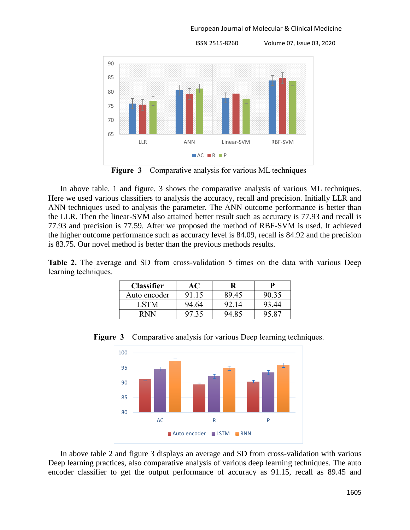

**Figure 3** Comparative analysis for various ML techniques

In above table. 1 and figure. 3 shows the comparative analysis of various ML techniques. Here we used various classifiers to analysis the accuracy, recall and precision. Initially LLR and ANN techniques used to analysis the parameter. The ANN outcome performance is better than the LLR. Then the linear-SVM also attained better result such as accuracy is 77.93 and recall is 77.93 and precision is 77.59. After we proposed the method of RBF-SVM is used. It achieved the higher outcome performance such as accuracy level is 84.09, recall is 84.92 and the precision is 83.75. Our novel method is better than the previous methods results.

**Table 2.** The average and SD from cross-validation 5 times on the data with various Deep learning techniques.

| <b>Classifier</b> |       |       |       |
|-------------------|-------|-------|-------|
| Auto encoder      | 91.15 | 89.45 | 90.35 |
| I STM             | 94.64 | 92.14 | 93.44 |
| R N N             |       | 94.85 |       |



**Figure 3** Comparative analysis for various Deep learning techniques.

In above table 2 and figure 3 displays an average and SD from cross-validation with various Deep learning practices, also comparative analysis of various deep learning techniques. The auto encoder classifier to get the output performance of accuracy as 91.15, recall as 89.45 and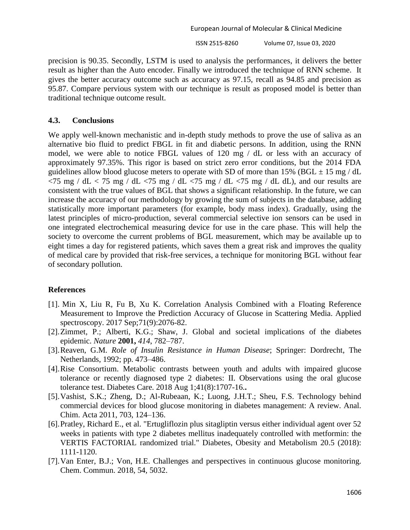ISSN 2515-8260 Volume 07, Issue 03, 2020

precision is 90.35. Secondly, LSTM is used to analysis the performances, it delivers the better result as higher than the Auto encoder. Finally we introduced the technique of RNN scheme. It gives the better accuracy outcome such as accuracy as 97.15, recall as 94.85 and precision as 95.87. Compare pervious system with our technique is result as proposed model is better than traditional technique outcome result.

#### **4.3. Conclusions**

We apply well-known mechanistic and in-depth study methods to prove the use of saliva as an alternative bio fluid to predict FBGL in fit and diabetic persons. In addition, using the RNN model, we were able to notice FBGL values of 120 mg / dL or less with an accuracy of approximately 97.35%. This rigor is based on strict zero error conditions, but the 2014 FDA guidelines allow blood glucose meters to operate with SD of more than 15% (BGL  $\pm$  15 mg / dL  $\langle 75 \text{ mg } / \text{ dL} \langle 75 \text{ mg } / \text{ dL} \langle 75 \text{ mg } / \text{ dL} \langle 75 \text{ mg } / \text{ dL} \langle 75 \text{ mg } / \text{ dL} \text{ dL} \rangle$ , and our results are consistent with the true values of BGL that shows a significant relationship. In the future, we can increase the accuracy of our methodology by growing the sum of subjects in the database, adding statistically more important parameters (for example, body mass index). Gradually, using the latest principles of micro-production, several commercial selective ion sensors can be used in one integrated electrochemical measuring device for use in the care phase. This will help the society to overcome the current problems of BGL measurement, which may be available up to eight times a day for registered patients, which saves them a great risk and improves the quality of medical care by provided that risk-free services, a technique for monitoring BGL without fear of secondary pollution.

## **References**

- [1]. Min X, Liu R, Fu B, Xu K. Correlation Analysis Combined with a Floating Reference Measurement to Improve the Prediction Accuracy of Glucose in Scattering Media. Applied spectroscopy. 2017 Sep;71(9):2076-82.
- [2].Zimmet, P.; Alberti, K.G.; Shaw, J. Global and societal implications of the diabetes epidemic. *Nature* **2001,** *414*, 782–787.
- [3].Reaven, G.M. *Role of Insulin Resistance in Human Disease*; Springer: Dordrecht, The Netherlands, 1992; pp. 473–486.
- [4].Rise Consortium. Metabolic contrasts between youth and adults with impaired glucose tolerance or recently diagnosed type 2 diabetes: II. Observations using the oral glucose tolerance test. Diabetes Care. 2018 Aug 1;41(8):1707-16.**.**
- [5].Vashist, S.K.; Zheng, D.; Al-Rubeaan, K.; Luong, J.H.T.; Sheu, F.S. Technology behind commercial devices for blood glucose monitoring in diabetes management: A review. Anal. Chim. Acta 2011, 703, 124–136.
- [6].Pratley, Richard E., et al. "Ertugliflozin plus sitagliptin versus either individual agent over 52 weeks in patients with type 2 diabetes mellitus inadequately controlled with metformin: the VERTIS FACTORIAL randomized trial." Diabetes, Obesity and Metabolism 20.5 (2018): 1111-1120.
- [7].Van Enter, B.J.; Von, H.E. Challenges and perspectives in continuous glucose monitoring. Chem. Commun. 2018, 54, 5032.